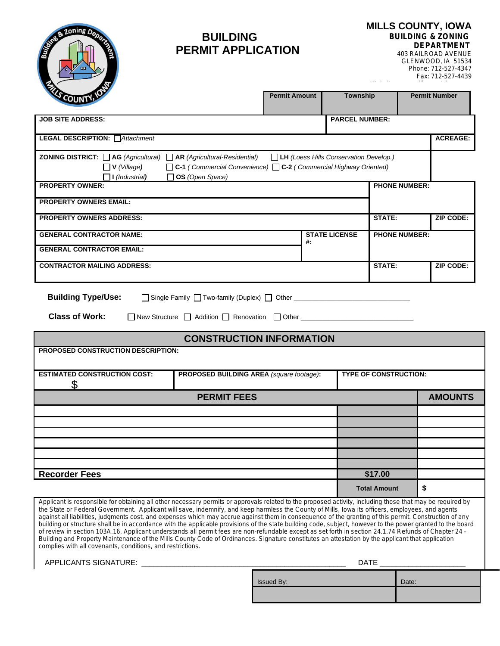

# **BUILDING PERMIT APPLICATION**

**MILLS COUNTY, IOWA BUILDING & ZONING DEPARTMENT**

Website: www.millscountyiowa.gov

403 RAILROAD AVENUE GLENWOOD, IA 51534 Phone: 712-527-4347 Fax: 712-527-4439

|    | <b>PARCEL NUMBER:</b><br>$\Box$ LH (Loess Hills Conservation Develop.)<br>□ C-1 (Commercial Convenience) □ C-2 (Commercial Highway Oriented) | <b>PHONE NUMBER:</b> |                                                 |
|----|----------------------------------------------------------------------------------------------------------------------------------------------|----------------------|-------------------------------------------------|
|    |                                                                                                                                              |                      | <b>ACREAGE:</b>                                 |
|    |                                                                                                                                              |                      |                                                 |
|    |                                                                                                                                              |                      |                                                 |
|    |                                                                                                                                              |                      |                                                 |
|    |                                                                                                                                              |                      | <b>ZIP CODE:</b>                                |
| #: |                                                                                                                                              |                      |                                                 |
|    |                                                                                                                                              |                      | <b>ZIP CODE:</b>                                |
|    |                                                                                                                                              | <b>STATE LICENSE</b> | STATE:<br><b>PHONE NUMBER:</b><br><b>STATE:</b> |

**Building Type/Use:**  $\Box$  Single Family  $\Box$  Two-family (Duplex)  $\Box$  Other  $\Box$ 

| <b>Class of Work:</b> | □ New Structure | Addition $\Box$ R | Renovation | Other |  |
|-----------------------|-----------------|-------------------|------------|-------|--|
|-----------------------|-----------------|-------------------|------------|-------|--|

### **CONSTRUCTION INFORMATION**

| PROPOSED CONSTRUCTION DESCRIPTION:  |                                          |                              |                |  |  |  |
|-------------------------------------|------------------------------------------|------------------------------|----------------|--|--|--|
|                                     |                                          |                              |                |  |  |  |
|                                     |                                          |                              |                |  |  |  |
| <b>ESTIMATED CONSTRUCTION COST:</b> | PROPOSED BUILDING AREA (square footage): | <b>TYPE OF CONSTRUCTION:</b> |                |  |  |  |
|                                     |                                          |                              |                |  |  |  |
|                                     |                                          |                              |                |  |  |  |
|                                     | <b>PERMIT FEES</b>                       |                              | <b>AMOUNTS</b> |  |  |  |
|                                     |                                          |                              |                |  |  |  |
|                                     |                                          |                              |                |  |  |  |
|                                     |                                          |                              |                |  |  |  |
|                                     |                                          |                              |                |  |  |  |
|                                     |                                          |                              |                |  |  |  |
|                                     |                                          |                              |                |  |  |  |
|                                     |                                          |                              |                |  |  |  |
|                                     |                                          |                              |                |  |  |  |
| <b>Recorder Fees</b>                |                                          | \$17.00                      |                |  |  |  |
|                                     |                                          | <b>Total Amount</b>          |                |  |  |  |

Applicant is responsible for obtaining all other necessary permits or approvals related to the proposed activity, including those that may be required by the State or Federal Government. Applicant will save, indemnify, and keep harmless the County of Mills, Iowa its officers, employees, and agents against all liabilities, judgments cost, and expenses which may accrue against them in consequence of the granting of this permit. Construction of any building or structure shall be in accordance with the applicable provisions of the state building code, subject, however to the power granted to the board of review in section 103A.16. Applicant understands all permit fees are non-refundable except as set forth in section 24.1.74 Refunds of Chapter 24 – Building and Property Maintenance of the Mills County Code of Ordinances. Signature constitutes an attestation by the applicant that application complies with all covenants, conditions, and restrictions.

APPLICANTS SIGNATURE: \_\_\_\_\_\_\_\_\_\_\_\_\_\_\_\_\_\_\_\_\_\_\_\_\_\_\_\_\_\_\_\_\_\_\_\_\_\_\_\_\_\_\_\_\_\_\_\_\_\_ DATE \_\_\_\_\_\_\_\_\_\_\_\_\_\_\_\_\_\_\_\_\_

Issued By: **Date:** Date: **Date:** Date: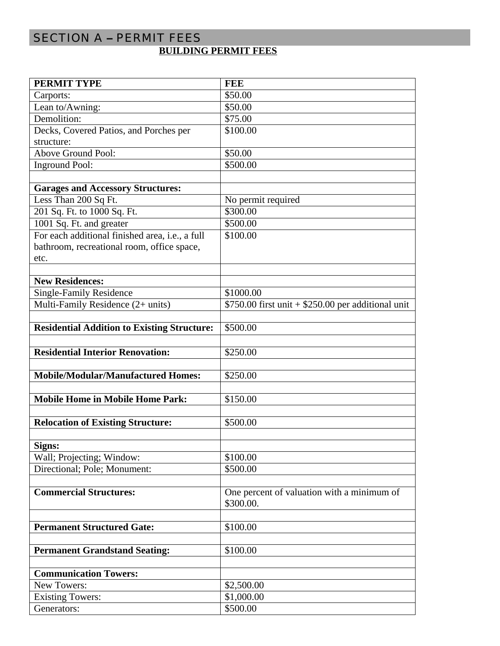# SECTION A – PERMIT FEES **BUILDING PERMIT FEES**

| <b>PERMIT TYPE</b>                                 | <b>FEE</b>                                          |
|----------------------------------------------------|-----------------------------------------------------|
| Carports:                                          | \$50.00                                             |
| Lean to/Awning:                                    | \$50.00                                             |
| Demolition:                                        | \$75.00                                             |
| Decks, Covered Patios, and Porches per             | \$100.00                                            |
| structure:                                         |                                                     |
| Above Ground Pool:                                 | \$50.00                                             |
| <b>Inground Pool:</b>                              | \$500.00                                            |
|                                                    |                                                     |
| <b>Garages and Accessory Structures:</b>           |                                                     |
| Less Than 200 Sq Ft.                               | No permit required                                  |
| 201 Sq. Ft. to 1000 Sq. Ft.                        | \$300.00                                            |
| 1001 Sq. Ft. and greater                           | \$500.00                                            |
| For each additional finished area, i.e., a full    | \$100.00                                            |
| bathroom, recreational room, office space,         |                                                     |
| etc.                                               |                                                     |
|                                                    |                                                     |
| <b>New Residences:</b>                             |                                                     |
| <b>Single-Family Residence</b>                     | \$1000.00                                           |
| Multi-Family Residence (2+ units)                  | $$750.00$ first unit + \$250.00 per additional unit |
|                                                    |                                                     |
| <b>Residential Addition to Existing Structure:</b> | \$500.00                                            |
|                                                    |                                                     |
| <b>Residential Interior Renovation:</b>            | \$250.00                                            |
|                                                    |                                                     |
| <b>Mobile/Modular/Manufactured Homes:</b>          | \$250.00                                            |
|                                                    |                                                     |
| <b>Mobile Home in Mobile Home Park:</b>            | \$150.00                                            |
|                                                    |                                                     |
| <b>Relocation of Existing Structure:</b>           | \$500.00                                            |
|                                                    |                                                     |
| Signs:                                             |                                                     |
| Wall; Projecting; Window:                          | \$100.00                                            |
| Directional; Pole; Monument:                       | \$500.00                                            |
|                                                    |                                                     |
| <b>Commercial Structures:</b>                      | One percent of valuation with a minimum of          |
|                                                    | \$300.00.                                           |
|                                                    |                                                     |
| <b>Permanent Structured Gate:</b>                  | \$100.00                                            |
|                                                    |                                                     |
| <b>Permanent Grandstand Seating:</b>               | \$100.00                                            |
|                                                    |                                                     |
| <b>Communication Towers:</b>                       |                                                     |
|                                                    |                                                     |
| New Towers:                                        | \$2,500.00                                          |
| <b>Existing Towers:</b><br>Generators:             | \$1,000.00<br>\$500.00                              |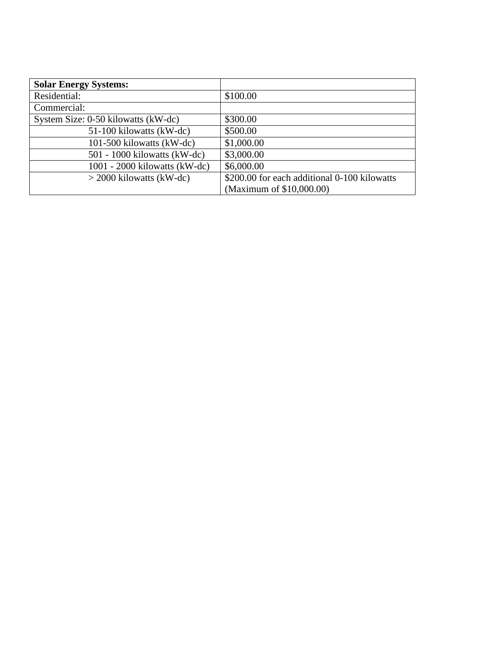| <b>Solar Energy Systems:</b>        |                                              |
|-------------------------------------|----------------------------------------------|
| Residential:                        | \$100.00                                     |
| Commercial:                         |                                              |
| System Size: 0-50 kilowatts (kW-dc) | \$300.00                                     |
| 51-100 kilowatts (kW-dc)            | \$500.00                                     |
| 101-500 kilowatts (kW-dc)           | \$1,000.00                                   |
| $501 - 1000$ kilowatts (kW-dc)      | \$3,000.00                                   |
| $1001 - 2000$ kilowatts (kW-dc)     | \$6,000.00                                   |
| $>$ 2000 kilowatts (kW-dc)          | \$200.00 for each additional 0-100 kilowatts |
|                                     | (Maximum of \$10,000.00)                     |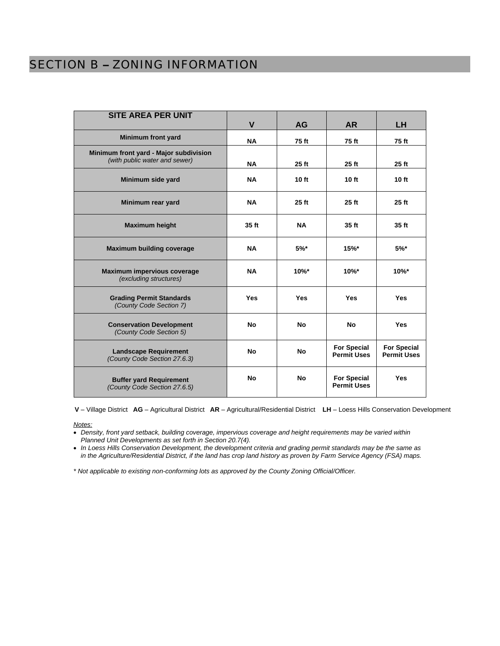# SECTION B – ZONING INFORMATION

| <b>SITE AREA PER UNIT</b>                                               | $\mathbf v$ | <b>AG</b>  | <b>AR</b>                                | LH.                                      |
|-------------------------------------------------------------------------|-------------|------------|------------------------------------------|------------------------------------------|
| <b>Minimum front yard</b>                                               | <b>NA</b>   | 75 ft      | 75 ft                                    | 75 ft                                    |
| Minimum front yard - Major subdivision<br>(with public water and sewer) | <b>NA</b>   | $25$ ft    | $25$ ft                                  | 25 ft                                    |
| Minimum side yard                                                       | <b>NA</b>   | 10 ft      | 10 ft                                    | 10 ft                                    |
| Minimum rear yard                                                       | <b>NA</b>   | $25$ ft    | 25 ft                                    | $25$ ft                                  |
| <b>Maximum height</b>                                                   | 35 ft       | <b>NA</b>  | 35 ft                                    | 35 ft                                    |
| <b>Maximum building coverage</b>                                        | <b>NA</b>   | $5%$ *     | $15%$ *                                  | $5%$ *                                   |
| <b>Maximum impervious coverage</b><br>(excluding structures)            | <b>NA</b>   | $10\%$ *   | $10\%$ *                                 | $10\%$ *                                 |
| <b>Grading Permit Standards</b><br>(County Code Section 7)              | <b>Yes</b>  | <b>Yes</b> | Yes                                      | <b>Yes</b>                               |
| <b>Conservation Development</b><br>(County Code Section 5)              | <b>No</b>   | No         | <b>No</b>                                | <b>Yes</b>                               |
| <b>Landscape Requirement</b><br>(County Code Section 27.6.3)            | <b>No</b>   | <b>No</b>  | <b>For Special</b><br><b>Permit Uses</b> | <b>For Special</b><br><b>Permit Uses</b> |
| <b>Buffer yard Requirement</b><br>(County Code Section 27.6.5)          | <b>No</b>   | <b>No</b>  | <b>For Special</b><br><b>Permit Uses</b> | <b>Yes</b>                               |

**V** – Village District **AG** – Agricultural District **AR** – Agricultural/Residential District **LH** – Loess Hills Conservation Development

#### *Notes:*

 *Density, front yard setback, building coverage, impervious coverage and height requirements may be varied within Planned Unit Developments as set forth in Section 20.7(4).*

 *In Loess Hills Conservation Development, the development criteria and grading permit standards may be the same as in the Agriculture/Residential District, if the land has crop land history as proven by Farm Service Agency (FSA) maps.*

*\* Not applicable to existing non-conforming lots as approved by the County Zoning Official/Officer.*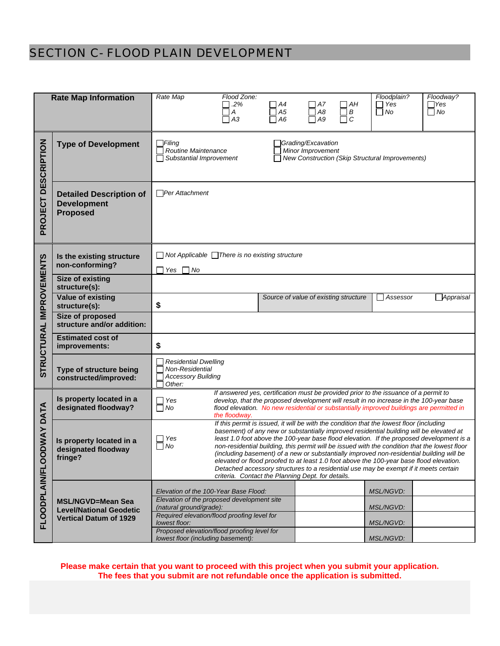# SECTION C- FLOOD PLAIN DEVELOPMENT

|                          | <b>Rate Map Information</b>                                     | Rate Map<br>Flood Zone:                                                                                                                                                                                  |                                                                                      |                            | Floodplain?           | Floodway?               |  |  |
|--------------------------|-----------------------------------------------------------------|----------------------------------------------------------------------------------------------------------------------------------------------------------------------------------------------------------|--------------------------------------------------------------------------------------|----------------------------|-----------------------|-------------------------|--|--|
|                          |                                                                 | .2%<br>Α                                                                                                                                                                                                 | $\bigcap$ A7<br>A4<br>$\Box$ A8<br>A5                                                | $\sqcap$ AH<br>$\exists$ B | $\Box$ Yes<br>No<br>П | $\Box$ Yes<br>$\Box$ No |  |  |
|                          |                                                                 | $\sqcap$ A3                                                                                                                                                                                              | A6<br>$\Box$ A9                                                                      | Пc                         |                       |                         |  |  |
|                          |                                                                 |                                                                                                                                                                                                          |                                                                                      |                            |                       |                         |  |  |
|                          | <b>Type of Development</b>                                      | Filing<br>Grading/Excavation<br>Minor Improvement<br><b>Routine Maintenance</b>                                                                                                                          |                                                                                      |                            |                       |                         |  |  |
|                          |                                                                 | New Construction (Skip Structural Improvements)<br>Substantial Improvement                                                                                                                               |                                                                                      |                            |                       |                         |  |  |
|                          |                                                                 |                                                                                                                                                                                                          |                                                                                      |                            |                       |                         |  |  |
| <b>DESCRIPTION</b>       | <b>Detailed Description of</b>                                  | □Per Attachment                                                                                                                                                                                          |                                                                                      |                            |                       |                         |  |  |
|                          | <b>Development</b>                                              |                                                                                                                                                                                                          |                                                                                      |                            |                       |                         |  |  |
| PROJECT                  |                                                                 | <b>Proposed</b>                                                                                                                                                                                          |                                                                                      |                            |                       |                         |  |  |
|                          |                                                                 |                                                                                                                                                                                                          |                                                                                      |                            |                       |                         |  |  |
|                          |                                                                 |                                                                                                                                                                                                          |                                                                                      |                            |                       |                         |  |  |
|                          | Is the existing structure<br>non-conforming?                    | $\Box$ Not Applicable $\Box$ There is no existing structure                                                                                                                                              |                                                                                      |                            |                       |                         |  |  |
|                          | <b>Size of existing</b>                                         | Yes     No                                                                                                                                                                                               |                                                                                      |                            |                       |                         |  |  |
|                          | structure(s):                                                   |                                                                                                                                                                                                          |                                                                                      |                            |                       | Appraisal               |  |  |
|                          | <b>Value of existing</b><br>structure(s):                       | Source of value of existing structure<br>Assessor<br>\$                                                                                                                                                  |                                                                                      |                            |                       |                         |  |  |
|                          | <b>Size of proposed</b><br>structure and/or addition:           |                                                                                                                                                                                                          |                                                                                      |                            |                       |                         |  |  |
| STRUCTURAL IMPROVEMENTS  | <b>Estimated cost of</b><br>improvements:                       | \$                                                                                                                                                                                                       |                                                                                      |                            |                       |                         |  |  |
|                          |                                                                 | <b>Residential Dwelling</b>                                                                                                                                                                              |                                                                                      |                            |                       |                         |  |  |
|                          | Type of structure being<br>constructed/improved:                | Non-Residential<br><b>Accessory Building</b>                                                                                                                                                             |                                                                                      |                            |                       |                         |  |  |
|                          |                                                                 | Other:                                                                                                                                                                                                   | If answered yes, certification must be provided prior to the issuance of a permit to |                            |                       |                         |  |  |
|                          | Is property located in a<br>designated floodway?                | develop, that the proposed development will result in no increase in the 100-year base<br>Yes<br>$\sqcap$ No<br>flood elevation. No new residential or substantially improved buildings are permitted in |                                                                                      |                            |                       |                         |  |  |
|                          |                                                                 | the floodway.<br>If this permit is issued, it will be with the condition that the lowest floor (including                                                                                                |                                                                                      |                            |                       |                         |  |  |
|                          |                                                                 | basement) of any new or substantially improved residential building will be elevated at<br>least 1.0 foot above the 100-year base flood elevation. If the proposed development is a<br>Yes               |                                                                                      |                            |                       |                         |  |  |
|                          | Is property located in a<br>designated floodway                 | non-residential building, this permit will be issued with the condition that the lowest floor<br>∩ No<br>(including basement) of a new or substantially improved non-residential building will be        |                                                                                      |                            |                       |                         |  |  |
|                          | fringe?                                                         | elevated or flood proofed to at least 1.0 foot above the 100-year base flood elevation.<br>Detached accessory structures to a residential use may be exempt if it meets certain                          |                                                                                      |                            |                       |                         |  |  |
|                          |                                                                 |                                                                                                                                                                                                          | criteria. Contact the Planning Dept. for details.                                    |                            |                       |                         |  |  |
|                          |                                                                 | Elevation of the 100-Year Base Flood:                                                                                                                                                                    |                                                                                      |                            | <i>MSL/NGVD:</i>      |                         |  |  |
|                          | <b>MSL/NGVD=Mean Sea</b>                                        | Elevation of the proposed development site<br>(natural ground/grade):                                                                                                                                    |                                                                                      |                            | MSL/NGVD:             |                         |  |  |
| FLOODPLAIN/FLOODWAY DATA | <b>Level/National Geodetic</b><br><b>Vertical Datum of 1929</b> | Required elevation/flood proofing level for<br>lowest floor:                                                                                                                                             |                                                                                      |                            | <i>MSL/NGVD:</i>      |                         |  |  |
|                          |                                                                 | Proposed elevation/flood proofing level for<br>lowest floor (including basement):                                                                                                                        |                                                                                      |                            | MSL/NGVD:             |                         |  |  |
|                          |                                                                 |                                                                                                                                                                                                          |                                                                                      |                            |                       |                         |  |  |

**Please make certain that you want to proceed with this project when you submit your application. The fees that you submit are not refundable once the application is submitted.**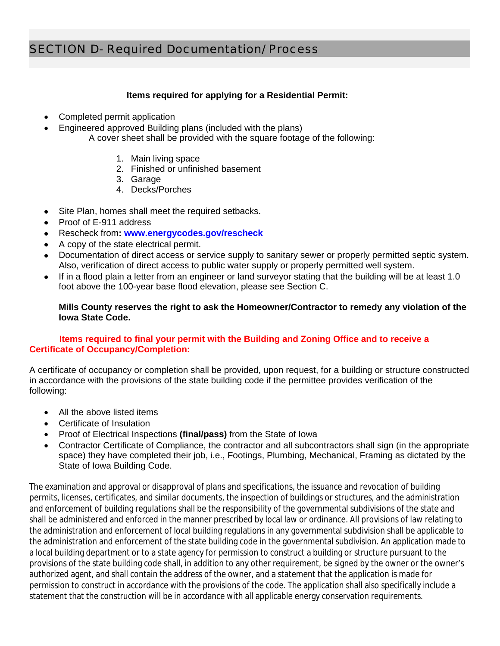#### **Items required for applying for a Residential Permit:**

- Completed permit application
- Engineered approved Building plans (included with the plans) A cover sheet shall be provided with the square footage of the following:
	- 1. Main living space
	- 2. Finished or unfinished basement
	- 3. Garage
	- 4. Decks/Porches
- Site Plan, homes shall meet the required setbacks.
- Proof of E-911 address
- Rescheck from**: [www.energycodes.gov/rescheck](http://www.energycodes.gov/rescheck)**
- A copy of the state electrical permit.
- Documentation of direct access or service supply to sanitary sewer or properly permitted septic system. Also, verification of direct access to public water supply or properly permitted well system.
- If in a flood plain a letter from an engineer or land surveyor stating that the building will be at least 1.0 foot above the 100-year base flood elevation, please see Section C.

#### **Mills County reserves the right to ask the Homeowner/Contractor to remedy any violation of the Iowa State Code.**

#### **Items required to final your permit with the Building and Zoning Office and to receive a Certificate of Occupancy/Completion:**

A certificate of occupancy or completion shall be provided, upon request, for a building or structure constructed in accordance with the provisions of the state building code if the permittee provides verification of the following:

- All the above listed items
- Certificate of Insulation
- Proof of Electrical Inspections **(final/pass)** from the State of Iowa
- Contractor Certificate of Compliance, the contractor and all subcontractors shall sign (in the appropriate space) they have completed their job, i.e., Footings, Plumbing, Mechanical, Framing as dictated by the State of Iowa Building Code.

The examination and approval or disapproval of plans and specifications, the issuance and revocation of building permits, licenses, certificates, and similar documents, the inspection of buildings or structures, and the administration and enforcement of building regulations shall be the responsibility of the governmental subdivisions of the state and shall be administered and enforced in the manner prescribed by local law or ordinance. All provisions of law relating to the administration and enforcement of local building regulations in any governmental subdivision shall be applicable to the administration and enforcement of the state building code in the governmental subdivision. An application made to a local building department or to a state agency for permission to construct a building or structure pursuant to the provisions of the state building code shall, in addition to any other requirement, be signed by the owner or the owner's authorized agent, and shall contain the address of the owner, and a statement that the application is made for permission to construct in accordance with the provisions of the code. The application shall also specifically include a statement that the construction will be in accordance with all applicable energy conservation requirements.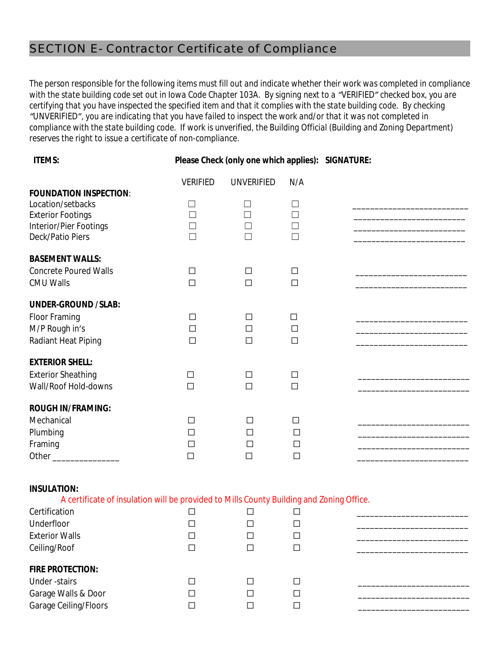# SECTION E- Contractor Certificate of Compliance

*The person responsible for the following items must fill out and indicate whether their work was completed in compliance with the state building code set out in Iowa Code Chapter 103A. By signing next to a "VERIFIED" checked box, you are certifying that you have inspected the specified item and that it complies with the state building code. By checking "UNVERIFIED", you are indicating that you have failed to inspect the work and/or that it was not completed in compliance with the state building code. If work is unverified, the Building Official (Building and Zoning Department) reserves the right to issue a certificate of non-compliance.* 

| <b>ITEMS:</b>                                                                                                                                                                          |                                      | Please Check (only one which applies): SIGNATURE: |                                 |  |  |  |
|----------------------------------------------------------------------------------------------------------------------------------------------------------------------------------------|--------------------------------------|---------------------------------------------------|---------------------------------|--|--|--|
|                                                                                                                                                                                        | <b>VERIFIED</b>                      | <b>UNVERIFIED</b>                                 | N/A                             |  |  |  |
| <b>FOUNDATION INSPECTION:</b><br>Location/setbacks<br><b>Exterior Footings</b><br>Interior/Pier Footings<br>Deck/Patio Piers                                                           | $\Box$<br>$\Box$<br>$\Box$<br>$\Box$ | $\vert \ \ \vert$<br>П<br>$\Box$<br>$\Box$        | ⊔<br>$\Box$<br>$\Box$<br>П      |  |  |  |
| <b>BASEMENT WALLS:</b><br><b>Concrete Poured Walls</b><br><b>CMU Walls</b>                                                                                                             | $\Box$<br>$\Box$                     | $\Box$<br>$\Box$                                  | $\Box$<br>$\Box$                |  |  |  |
| <b>UNDER-GROUND /SLAB:</b><br>Floor Framing<br>M/P Rough in's<br>Radiant Heat Piping                                                                                                   | $\Box$<br>$\Box$<br>$\Box$           | $\Box$<br>$\Box$<br>$\Box$                        | $\Box$<br>$\Box$<br>$\Box$      |  |  |  |
| <b>EXTERIOR SHELL:</b><br><b>Exterior Sheathing</b><br>Wall/Roof Hold-downs                                                                                                            | $\Box$<br>$\Box$                     | $\Box$<br>$\Box$                                  | □<br>$\Box$                     |  |  |  |
| <b>ROUGH IN/FRAMING:</b><br>Mechanical<br>Plumbing<br>Framing<br>Other _________________                                                                                               | П<br>$\Box$<br>П<br>$\Box$           | $\Box$<br>$\Box$<br>$\Box$<br>$\Box$              | П<br>$\Box$<br>$\Box$<br>$\Box$ |  |  |  |
| <b>INSULATION:</b><br>A certificate of insulation will be provided to Mills County Building and Zoning Office.<br>Certification<br>Underfloor<br><b>Exterior Walls</b><br>Ceiling/Roof | $\Box$<br>П<br>П<br>П                | $\Box$<br>П<br>$\Box$<br>$\Box$                   | $\Box$<br>П<br>$\Box$<br>$\Box$ |  |  |  |

#### **FIRE PROTECTION:**

| .                     |  |  |  |
|-----------------------|--|--|--|
| Under -stairs         |  |  |  |
| Garage Walls & Door   |  |  |  |
| Garage Ceiling/Floors |  |  |  |
|                       |  |  |  |